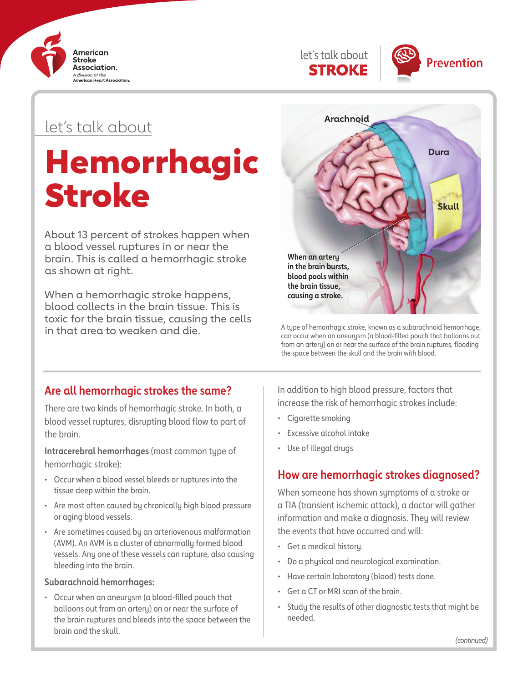



# let's talk about

# Hemorrhagic Stroke

About 13 percent of strokes happen when a blood vessel ruptures in or near the brain. This is called a hemorrhagic stroke as shown at right.

When a hemorrhagic stroke happens, blood collects in the brain tissue. This is toxic for the brain tissue, causing the cells in that area to weaken and die.<sup>3</sup> A type of hemorrhagic stroke, known as a subarachnoid hemorrhage,



can occur when an aneurysm (a blood-filled pouch that balloons out from an artery) on or near the surface of the brain ruptures, flooding the space between the skull and the brain with blood.

# **Are all hemorrhagic strokes the same?**

There are two kinds of hemorrhagic stroke. In both, a blood vessel ruptures, disrupting blood flow to part of the brain.

**Intracerebral hemorrhages** (most common type of hemorrhagic stroke):

- Occur when a blood vessel bleeds or ruptures into the tissue deep within the brain.
- Are most often caused by chronically high blood pressure or aging blood vessels.
- Are sometimes caused by an arteriovenous malformation (AVM). An AVM is a cluster of abnormally formed blood vessels. Any one of these vessels can rupture, also causing bleeding into the brain.

#### **Subarachnoid hemorrhages:**

• Occur when an aneurysm (a blood-filled pouch that balloons out from an artery) on or near the surface of the brain ruptures and bleeds into the space between the brain and the skull.

In addition to high blood pressure, factors that increase the risk of hemorrhagic strokes include:

- Cigarette smoking
- Excessive alcohol intake
- Use of illegal drugs

# **How are hemorrhagic strokes diagnosed?**

When someone has shown symptoms of a stroke or a TIA (transient ischemic attack), a doctor will gather information and make a diagnosis. They will review the events that have occurred and will:

- Get a medical history.
- Do a physical and neurological examination.
- Have certain laboratory (blood) tests done.
- Get a CT or MRI scan of the brain.
- Study the results of other diagnostic tests that might be needed.